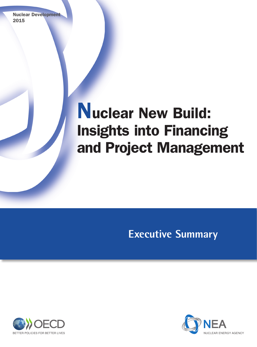Nuclear Development 2015

# Nuclear New Build: Insights into Financing and Project Management

### **Executive Summary**



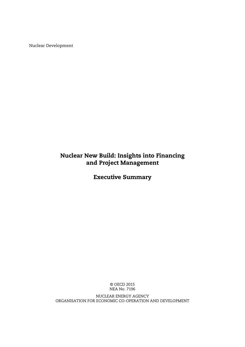Nuclear Development

### Nuclear New Build: Insights into Financing and Project Management

Executive Summary

© OECD 2015 NEA No. 7196

NUCLEAR ENERGY AGENCY ORGANISATION FOR ECONOMIC CO-OPERATION AND DEVELOPMENT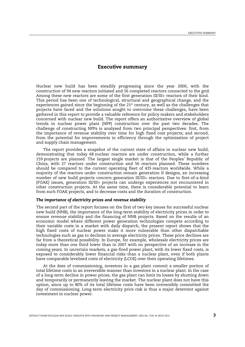#### Executive summary

Nuclear new build has been steadily progressing since the year 2000, with the construction of 94 new reactors initiated and 56 completed reactors connected to the grid. Among these new reactors are some of the first generation III/III+ reactors of their kind. This period has been one of technological, structural and geographical change, and the experiences gained since the beginning of the 21<sup>st</sup> century, as well as the challenges that projects have faced and the solutions sought to overcome these challenges, have been gathered in this report to provide a valuable reference for policy makers and stakeholders concerned with nuclear new build. The report offers an authoritative overview of global trends in nuclear power plant (NPP) construction over the past two decades. The challenge of constructing NPPs is analysed from two principal perspectives: first, from the importance of revenue stability over time for high fixed cost projects; and second, from the potential for improvements in efficiency through the optimisation of project and supply chain management.

The report provides a snapshot of the current state of affairs in nuclear new build, demonstrating that today 68 nuclear reactors are under construction, while a further 159 projects are planned. The largest single market is that of the Peoples' Republic of China, with 27 reactors under construction and 56 reactors planned. These numbers should be compared to the current operating fleet of 435 reactors worldwide. While a majority of the reactors under construction remain generation II designs, an increasing number of new build projects concern generation III/III+ reactors. Due to first-of-a-kind (FOAK) issues, generation III/III+ projects can undergo experiences not encountered in other construction projects. At the same time, there is considerable potential to learn from such FOAK projects, and to decrease costs and the duration of construction.

#### *The importance of electricity prices and revenue stability*

The second part of the report focuses on the first of two key issues for successful nuclear new build (NNB), the importance of the long-term stability of electricity prices in order to ensure revenue stability and the financing of NNB projects. Based on the results of an economic model where different power generation technologies compete according to their variable costs in a market with daily dispatch, the present report shows that the high fixed costs of nuclear power make it more vulnerable than other dispatchable technologies such as gas to declines in average electricity prices. These price declines are far from a theoretical possibility. In Europe, for example, wholesale electricity prices are today more than one third lower than in 2007 with no perspective of an increase in the coming years. In uncertain markets, a gas-fired power plant, with its lower fixed costs, is exposed to considerably lower financial risks than a nuclear plant, even if both plants have comparable levelised costs of electricity (LCOE) over their operating lifetimes.

At the date of commissioning, investors in a gas plant commit a smaller portion of total lifetime costs in an irreversible manner than investors in a nuclear plant. In the case of a long-term decline in power prices, the gas plant can limit its losses by shutting down and temporarily or permanently leaving the market. The nuclear plant does not have this option, since up to 80% of its total lifetime costs have been irreversibly committed the day of commissioning. Long-term electricity price risk is thus a major deterrent against investment in nuclear power.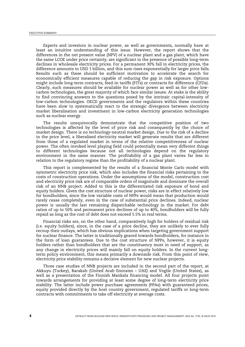Experts and investors in nuclear power, as well as governments, normally have at least an intuitive understanding of this issue. However, the report shows that the differences in the net present value (NPV) of a nuclear plant and a gas plant, which have the same LCOE under price certainty, are significant in the presence of possible long-term declines in wholesale electricity prices. For a permanent 30% fall in electricity prices, the difference amounts to USD 1 billion, and this sum rises exponentially for larger price falls. Results such as these should be sufficient motivation to accelerate the search for economically efficient measures capable of reducing the gap in risk exposure. Options might include long-term contracts, feed-in tariffs (FITs) or contracts for difference (CFDs). Clearly, such measures should be available for nuclear power as well as for other lowcarbon technologies, the great majority of which face similar issues. At stake is the ability to find convincing answers to the questions posed by the intrinsic capital-intensity of low-carbon technologies. OECD governments and the regulators within these countries have been slow to systematically react to the strategic divergence between electricity market liberalisation and investment in low-carbon electricity generation technologies such as nuclear energy.

The results unequivocally demonstrate that the competitive position of two technologies is affected by the level of price risk and consequently by the choice of market design. There is no technology-neutral market design. Due to the risk of a decline in the price level, a liberalised electricity market will generate results that are different from those of a regulated market in terms of the relative competitiveness of nuclear power. The often invoked level playing field could potentially mean very different things to different technologies because not all technologies depend on the regulatory environment in the same manner. The profitability of a gas plant varies far less in relation to the regulatory regime than the profitability of a nuclear plant.

This report is complemented by the results of a financial Monte Carlo model with symmetric electricity price risk, which also includes the financial risks pertaining to the costs of construction operations. Under the assumptions of the model, construction cost and electricity price risk are of comparable orders of magnitude and dominate the overall risk of an NNB project. Added to this is the differentiated risk exposure of bond and equity holders. Given the cost structure of nuclear power, risks are in effect relatively low for bondholders, since the low variable costs of NPPs would mean that production would rarely cease completely, even in the case of substantial price declines. Indeed, nuclear power is usually the last remaining dispatchable technology in the market. For debt ratios of up to 50% and permanent price declines of up to 40%, bondholders will be fully repaid as long as the cost of debt does not exceed 5.5% in real terms.

Financial risks are, on the other hand, comparatively high for holders of residual risk (i.e. equity holders), since, in the case of a price decline, they are unlikely to ever fully recoup their outlays, which has obvious implications when targeting government support for nuclear finance. The latter is traditionally geared towards bondholders, for instance in the form of loan guarantees. Due to the cost structure of NPPs, however, it is equity holders rather than bondholders that are the constituency most in need of support, as any change in electricity prices will mainly fall on equity holders. In the current longterm policy environment, this means primarily a downside risk. From this point of view, electricity price stability remains a decisive element for new nuclear projects.

Three case studies of NNB projects are included in the second part of the report, at Akkuyu (Turkey), Barakah (United Arab Emirates – UAE) and Vogtle (United States), as well as a presentation of the Finnish Mankala financing model. All four projects point towards arrangements for providing at least some degree of long-term electricity price stability. The latter include power purchase agreements (PPAs) with guaranteed prices, equity provided directly by the host country government, regulated tariffs or long-term contracts with commitments to take off electricity at average costs.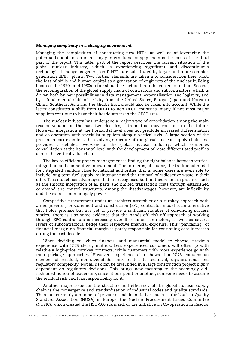#### *Managing complexity in a changing environment*

Managing the complexities of constructing new NPPs, as well as of leveraging the potential benefits of an increasingly international supply chain is the focus of the third part of the report. This latter part of the report describes the current situation of the global nuclear industry, which is experiencing significant and discontinuous technological change as generation II NPPs are substituted by larger and more complex generation III/III+ plants. Two further elements are taken into consideration here. First, the loss of skills and human capital as a generation of engineers of the nuclear building boom of the 1970s and 1980s retire should be factored into the current situation. Second, the reconfiguration of the global supply chain of contractors and subcontractors, which is driven both by new possibilities in data management, externalisation and logistics, and by a fundamental shift of activity from the United States, Europe, Japan and Korea to China, Southeast Asia and the Middle East, should also be taken into account. While the latter constitutes a shift from OECD to non-OECD countries, many if not most major suppliers continue to have their headquarters in the OECD area.

The nuclear industry has undergone a major wave of consolidation among the main reactor vendors in the past two decades, a trend that may continue in the future. However, integration at the horizontal level does not preclude increased differentiation and co-operation with specialist suppliers along a vertical axis. A large section of the present report examines the evolving structure of the global nuclear supply chain and provides a detailed overview of the global nuclear industry, which combines consolidation at the horizontal level with the development of more differentiated profiles across the vertical value chain.

The key to efficient project management is finding the right balance between vertical integration and competitive procurement. The former is, of course, the traditional model for integrated vendors close to national authorities that in some cases are even able to include long-term fuel supply, maintenance and the removal of radioactive waste in their offer. This model has advantages that are recognised both in theory and in practice, such as the smooth integration of all parts and limited transaction costs through established command and control structures. Among the disadvantages, however, are inflexibility and the exercise of monopoly power.

Competitive procurement under an architect-assembler or a turnkey approach with an engineering, procurement and construction (EPC) contractor model is an alternative that holds promise but has yet to provide a sufficient number of convincing success stories. There is also some evidence that the hands-off, risk-off approach of working through EPC contractors is increasing overall costs as contractors, as well as several layers of subcontractors, hedge their respective financial exposure. This ''pancaking'' of financial margin on financial margin is partly responsible for continuing cost increases during the past decade.

When deciding on which financial and managerial model to choose, previous experience with NNB clearly matters. Less experienced customers will often go with relatively high-price, turnkey contracts, while customers with more experience go with multi-package approaches. However, experience also shows that NNB contains an element of residual, non-diversifiable risk related to technical, organisational and regulatory complexity. Not all risk can be diversified in a large construction project highly dependent on regulatory decisions. This brings new meaning to the seemingly oldfashioned notion of leadership, since at one point or another, someone needs to assume the residual risk and take responsibility for it.

Another major issue for the structure and efficiency of the global nuclear supply chain is the convergence and standardisation of industrial codes and quality standards. There are currently a number of private or public initiatives, such as the Nuclear Quality Standard Association (NQSA) in Europe, the Nuclear Procurement Issues Committee (NUPIC), which created the NSQ-100 standard, or the initiative on Co-operation in Reactor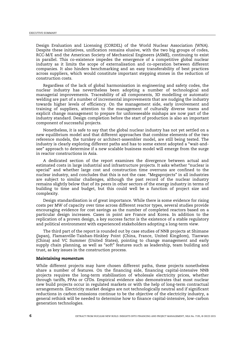Design Evaluation and Licensing (CORDEL) of the World Nuclear Association (WNA). Despite these initiatives, unification remains elusive, with the two big groups of codes, RCC-M/E and the American Society of Mechanical Engineers (ASME), continuing to exist in parallel. This co-existence impedes the emergence of a competitive global nuclear industry as it limits the scope of externalisation and co-operation between different companies. It also hinders benchmarking and an easy transferability of best practices across suppliers, which would constitute important stepping stones in the reduction of construction costs.

Regardless of the lack of global harmonisation in engineering and safety codes, the nuclear industry has nevertheless been adopting a number of technological and managerial improvements. Traceability of all components, 3D modelling or automatic welding are part of a number of incremental improvements that are nudging the industry towards higher levels of efficiency. On the management side, early involvement and training of suppliers, attention to the management of culturally diverse teams and explicit change management to prepare for unforeseeable mishaps are now part of the industry standard. Design completion before the start of production is also an important component of successful projects.

Nonetheless, it is safe to say that the global nuclear industry has not yet settled on a new equilibrium model and that different approaches that combine elements of the two reference models, the turnkey or architect-assembler model, are still being tested. The industry is clearly exploring different paths and has to some extent adopted a "wait-andsee" approach to determine if a new scalable business model will emerge from the surge in reactor constructions in Asia.

A dedicated section of the report examines the divergence between actual and estimated costs in large industrial and infrastructure projects. It asks whether "nuclear is special" and whether large cost and construction time overruns are confined to the nuclear industry, and concludes that this is not the case. "Megaprojects" in all industries are subject to similar challenges, although the past record of the nuclear industry remains slightly below that of its peers in other sectors of the energy industry in terms of building to time and budget, but this could well be a function of project size and complexity.

Design standardisation is of great importance. While there is some evidence for rising costs per MW of capacity over time across different reactor types, several studies provide encouraging evidence for cost savings as the number of completed reactors based on a particular design increases. Cases in point are France and Korea. In addition to the replication of a proven design, a key success factor is the existence of a stable regulatory and political environment with experienced stakeholders adopting a long-term view.

The third part of the report is rounded out by case studies of NNB projects at Shimane (Japan), Flamanville-Taishan-Hinkley Point (China, France, United Kingdom), Tianwan (China) and VC Summer (United States), pointing to change management and early supply chain planning, as well as "soft" features such as leadership, team building and trust, as key issues in the construction process.

#### *Maintaining momentum*

While different projects may have chosen different paths, these projects nonetheless share a number of features. On the financing side, financing capital-intensive NNB projects requires the long-term stabilisation of wholesale electricity prices, whether through tariffs, PPAs or CFDs. Empirical evidence also demonstrates that most nuclear new build projects occur in regulated markets or with the help of long-term contractual arrangements. Electricity market designs are not technologically neutral and if significant reductions in carbon emissions continue to be the objective of the electricity industry, a general rethink will be needed to determine how to finance capital-intensive, low-carbon generation technologies.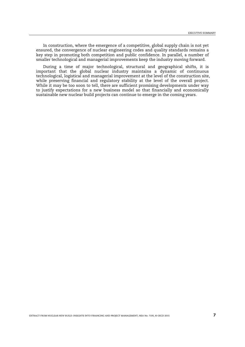In construction, where the emergence of a competitive, global supply chain is not yet ensured, the convergence of nuclear engineering codes and quality standards remains a key step in promoting both competition and public confidence. In parallel, a number of smaller technological and managerial improvements keep the industry moving forward.

During a time of major technological, structural and geographical shifts, it is important that the global nuclear industry maintains a dynamic of continuous technological, logistical and managerial improvement at the level of the construction site, while preserving financial and regulatory stability at the level of the overall project. While it may be too soon to tell, there are sufficient promising developments under way to justify expectations for a new business model so that financially and economically sustainable new nuclear build projects can continue to emerge in the coming years.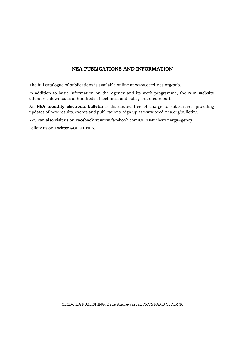#### NEA PUBLICATIONS AND INFORMATION

The full catalogue of publications is available online at www.oecd-nea.org/pub.

In addition to basic information on the Agency and its work programme, the NEA website offers free downloads of hundreds of technical and policy-oriented reports.

An NEA monthly electronic bulletin is distributed free of charge to subscribers, providing updates of new results, events and publications. Sign up at www.oecd-nea.org/bulletin/.

You can also visit us on Facebook at www.facebook.com/OECDNuclearEnergyAgency.

Follow us on Twitter @OECD\_NEA.